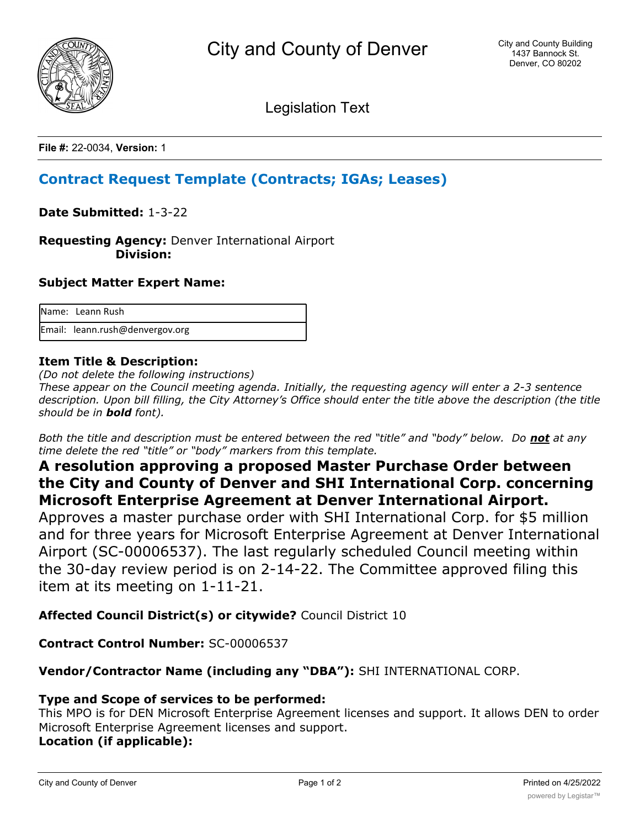

Legislation Text

**File #:** 22-0034, **Version:** 1

# **Contract Request Template (Contracts; IGAs; Leases)**

**Date Submitted:** 1-3-22

**Requesting Agency:** Denver International Airport  **Division:**

### **Subject Matter Expert Name:**

| Name: Leann Rush                |
|---------------------------------|
| Email: leann.rush@denvergov.org |

## **Item Title & Description:**

*(Do not delete the following instructions)*

*These appear on the Council meeting agenda. Initially, the requesting agency will enter a 2-3 sentence description. Upon bill filling, the City Attorney's Office should enter the title above the description (the title should be in bold font).*

*Both the title and description must be entered between the red "title" and "body" below. Do not at any time delete the red "title" or "body" markers from this template.*

## **A resolution approving a proposed Master Purchase Order between the City and County of Denver and SHI International Corp. concerning Microsoft Enterprise Agreement at Denver International Airport.**

Approves a master purchase order with SHI International Corp. for \$5 million and for three years for Microsoft Enterprise Agreement at Denver International Airport (SC-00006537). The last regularly scheduled Council meeting within the 30-day review period is on 2-14-22. The Committee approved filing this item at its meeting on 1-11-21.

## **Affected Council District(s) or citywide?** Council District 10

**Contract Control Number:** SC-00006537

## **Vendor/Contractor Name (including any "DBA"):** SHI INTERNATIONAL CORP.

## **Type and Scope of services to be performed:**

This MPO is for DEN Microsoft Enterprise Agreement licenses and support. It allows DEN to order Microsoft Enterprise Agreement licenses and support. **Location (if applicable):**